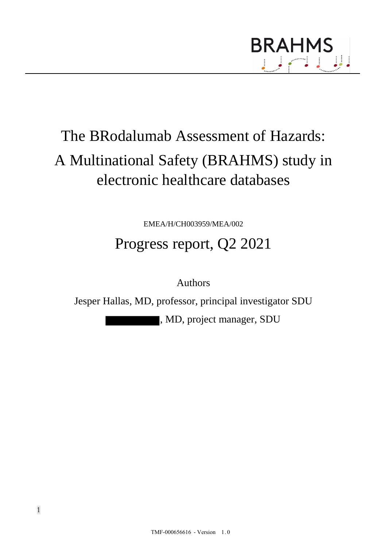

# The BRodalumab Assessment of Hazards: A Multinational Safety (BRAHMS) study in electronic healthcare databases

EMEA/H/CH003959/MEA/002

# Progress report, Q2 2021

Authors

Jesper Hallas, MD, professor, principal investigator SDU

, MD, project manager, SDU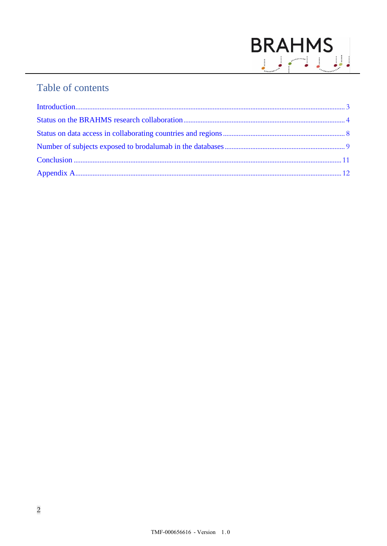

# Table of contents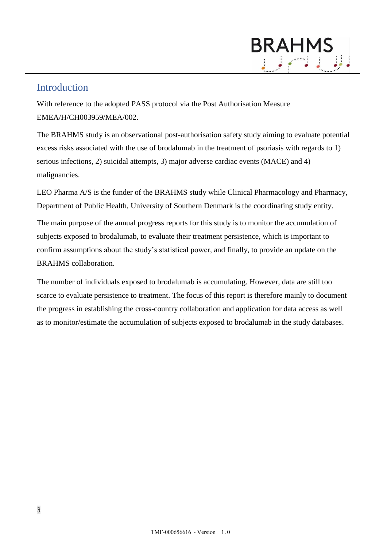### <span id="page-2-0"></span>Introduction

With reference to the adopted PASS protocol via the Post Authorisation Measure EMEA/H/CH003959/MEA/002.

The BRAHMS study is an observational post-authorisation safety study aiming to evaluate potential excess risks associated with the use of brodalumab in the treatment of psoriasis with regards to 1) serious infections, 2) suicidal attempts, 3) major adverse cardiac events (MACE) and 4) malignancies.

LEO Pharma A/S is the funder of the BRAHMS study while Clinical Pharmacology and Pharmacy, Department of Public Health, University of Southern Denmark is the coordinating study entity.

The main purpose of the annual progress reports for this study is to monitor the accumulation of subjects exposed to brodalumab, to evaluate their treatment persistence, which is important to confirm assumptions about the study's statistical power, and finally, to provide an update on the BRAHMS collaboration.

The number of individuals exposed to brodalumab is accumulating. However, data are still too scarce to evaluate persistence to treatment. The focus of this report is therefore mainly to document the progress in establishing the cross-country collaboration and application for data access as well as to monitor/estimate the accumulation of subjects exposed to brodalumab in the study databases.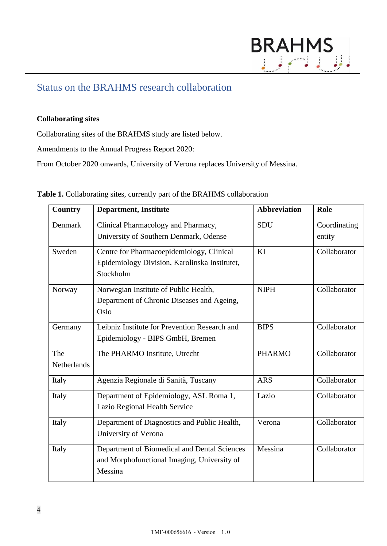

### <span id="page-3-0"></span>Status on the BRAHMS research collaboration

#### **Collaborating sites**

Collaborating sites of the BRAHMS study are listed below.

Amendments to the Annual Progress Report 2020:

From October 2020 onwards, University of Verona replaces University of Messina.

|  |  |  |  |  | Table 1. Collaborating sites, currently part of the BRAHMS collaboration |
|--|--|--|--|--|--------------------------------------------------------------------------|
|--|--|--|--|--|--------------------------------------------------------------------------|

| <b>Country</b>            | <b>Department, Institute</b>                                                                            | <b>Abbreviation</b> | <b>Role</b>            |
|---------------------------|---------------------------------------------------------------------------------------------------------|---------------------|------------------------|
| Denmark                   | Clinical Pharmacology and Pharmacy,<br>University of Southern Denmark, Odense                           | SDU                 | Coordinating<br>entity |
| Sweden                    | Centre for Pharmacoepidemiology, Clinical<br>Epidemiology Division, Karolinska Institutet,<br>Stockholm | KI                  | Collaborator           |
| Norway                    | Norwegian Institute of Public Health,<br>Department of Chronic Diseases and Ageing,<br>Oslo             | <b>NIPH</b>         | Collaborator           |
| Germany                   | Leibniz Institute for Prevention Research and<br>Epidemiology - BIPS GmbH, Bremen                       | <b>BIPS</b>         | Collaborator           |
| The<br><b>Netherlands</b> | The PHARMO Institute, Utrecht                                                                           | <b>PHARMO</b>       | Collaborator           |
| Italy                     | Agenzia Regionale di Sanità, Tuscany                                                                    | <b>ARS</b>          | Collaborator           |
| Italy                     | Department of Epidemiology, ASL Roma 1,<br>Lazio Regional Health Service                                | Lazio               | Collaborator           |
| Italy                     | Department of Diagnostics and Public Health,<br>University of Verona                                    | Verona              | Collaborator           |
| Italy                     | Department of Biomedical and Dental Sciences<br>and Morphofunctional Imaging, University of<br>Messina  | Messina             | Collaborator           |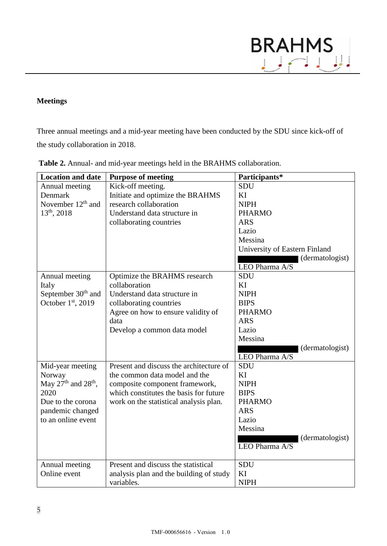# BRAHMS<br><u>USA U</u>

#### **Meetings**

Three annual meetings and a mid-year meeting have been conducted by the SDU since kick-off of the study collaboration in 2018.

| <b>Location and date</b>                    | <b>Purpose of meeting</b>               | Participants*                 |
|---------------------------------------------|-----------------------------------------|-------------------------------|
| Annual meeting                              | Kick-off meeting.                       | <b>SDU</b>                    |
| Denmark                                     | Initiate and optimize the BRAHMS        | KI                            |
| November $12th$ and                         | research collaboration                  | <b>NIPH</b>                   |
| $13^{th}$ , 2018                            | Understand data structure in            | <b>PHARMO</b>                 |
|                                             | collaborating countries                 | <b>ARS</b>                    |
|                                             |                                         | Lazio                         |
|                                             |                                         | Messina                       |
|                                             |                                         | University of Eastern Finland |
|                                             |                                         | (dermatologist)               |
|                                             |                                         | LEO Pharma A/S                |
| Annual meeting                              | Optimize the BRAHMS research            | <b>SDU</b>                    |
| Italy                                       | collaboration                           | KI                            |
| September 30 <sup>th</sup> and              | Understand data structure in            | <b>NIPH</b>                   |
| October 1st, 2019                           | collaborating countries                 | <b>BIPS</b>                   |
|                                             | Agree on how to ensure validity of      | <b>PHARMO</b>                 |
|                                             | data                                    | <b>ARS</b>                    |
|                                             | Develop a common data model             | Lazio                         |
|                                             |                                         | Messina                       |
|                                             |                                         | (dermatologist)               |
|                                             |                                         | LEO Pharma A/S                |
| Mid-year meeting                            | Present and discuss the architecture of | SDU                           |
| Norway                                      | the common data model and the           | KI                            |
| May $27^{\text{th}}$ and $28^{\text{th}}$ , | composite component framework,          | <b>NIPH</b>                   |
| 2020                                        | which constitutes the basis for future  | <b>BIPS</b>                   |
| Due to the corona                           | work on the statistical analysis plan.  | <b>PHARMO</b>                 |
| pandemic changed                            |                                         | <b>ARS</b>                    |
| to an online event                          |                                         | Lazio                         |
|                                             |                                         | Messina                       |
|                                             |                                         | (dermatologist)               |
|                                             |                                         | LEO Pharma A/S                |
|                                             |                                         |                               |
| Annual meeting                              | Present and discuss the statistical     | <b>SDU</b>                    |
| Online event                                | analysis plan and the building of study | KI                            |
|                                             | variables.                              | <b>NIPH</b>                   |

**Table 2.** Annual- and mid-year meetings held in the BRAHMS collaboration.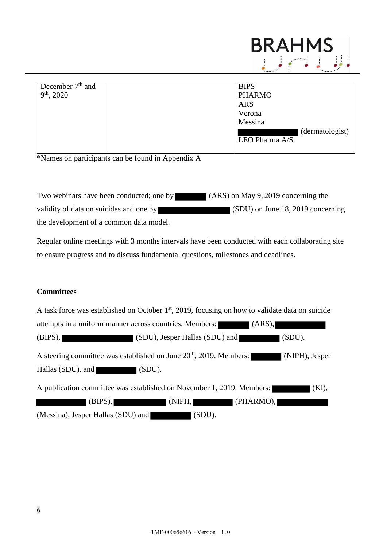

| December $7th$ and | <b>BIPS</b>     |
|--------------------|-----------------|
| $9th$ , 2020       | <b>PHARMO</b>   |
|                    | <b>ARS</b>      |
|                    | Verona          |
|                    | Messina         |
|                    | (dermatologist) |
|                    | LEO Pharma A/S  |
|                    |                 |

\*Names on participants can be found in Appendix A

Two webinars have been conducted; one by (ARS) on May 9, 2019 concerning the validity of data on suicides and one by (SDU) on June 18, 2019 concerning the development of a common data model.

Regular online meetings with 3 months intervals have been conducted with each collaborating site to ensure progress and to discuss fundamental questions, milestones and deadlines.

#### **Committees**

| A task force was established on October 1 <sup>st</sup> , 2019, focusing on how to validate data on suicide |          |
|-------------------------------------------------------------------------------------------------------------|----------|
| attempts in a uniform manner across countries. Members: (ARS),                                              |          |
| (SDU), Jesper Hallas (SDU) and (SDU).<br>$(BIPS)$ ,                                                         |          |
| A steering committee was established on June 20 <sup>th</sup> , 2019. Members: (NIPH), Jesper               |          |
| Hallas (SDU), and (SDU).                                                                                    |          |
| A publication committee was established on November 1, 2019. Members:                                       | $(KI)$ , |
| (NIPH,<br>(PHARMO),<br>$(BIPS)$ ,                                                                           |          |
| (Messina), Jesper Hallas (SDU) and<br>(SDU).                                                                |          |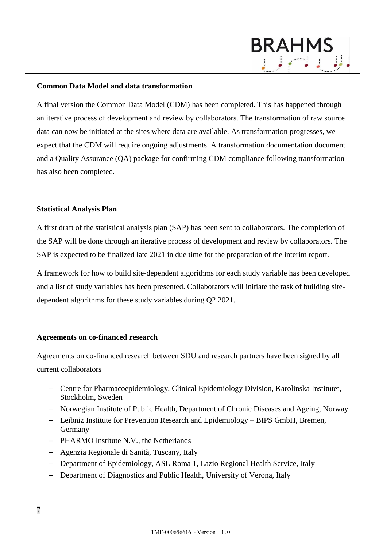#### **Common Data Model and data transformation**

A final version the Common Data Model (CDM) has been completed. This has happened through an iterative process of development and review by collaborators. The transformation of raw source data can now be initiated at the sites where data are available. As transformation progresses, we expect that the CDM will require ongoing adjustments. A transformation documentation document and a Quality Assurance (QA) package for confirming CDM compliance following transformation has also been completed.

**BRAHMS** 

#### **Statistical Analysis Plan**

A first draft of the statistical analysis plan (SAP) has been sent to collaborators. The completion of the SAP will be done through an iterative process of development and review by collaborators. The SAP is expected to be finalized late 2021 in due time for the preparation of the interim report.

A framework for how to build site-dependent algorithms for each study variable has been developed and a list of study variables has been presented. Collaborators will initiate the task of building sitedependent algorithms for these study variables during Q2 2021.

#### **Agreements on co-financed research**

Agreements on co-financed research between SDU and research partners have been signed by all current collaborators

- − Centre for Pharmacoepidemiology, Clinical Epidemiology Division, Karolinska Institutet, Stockholm, Sweden
- − Norwegian Institute of Public Health, Department of Chronic Diseases and Ageing, Norway
- − Leibniz Institute for Prevention Research and Epidemiology BIPS GmbH, Bremen, Germany
- − PHARMO Institute N.V., the Netherlands
- − Agenzia Regionale di Sanità, Tuscany, Italy
- − Department of Epidemiology, ASL Roma 1, Lazio Regional Health Service, Italy
- − Department of Diagnostics and Public Health, University of Verona, Italy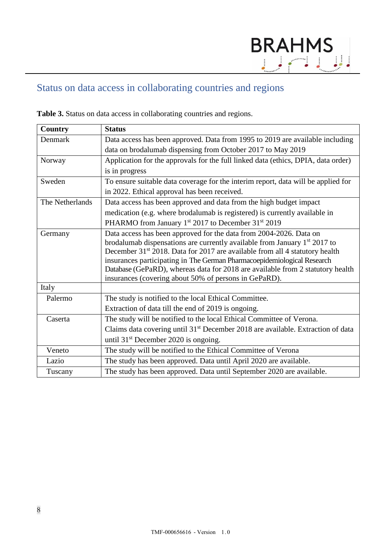# <span id="page-7-0"></span>Status on data access in collaborating countries and regions

| <b>Country</b>  | <b>Status</b>                                                                               |
|-----------------|---------------------------------------------------------------------------------------------|
| Denmark         | Data access has been approved. Data from 1995 to 2019 are available including               |
|                 | data on brodalumab dispensing from October 2017 to May 2019                                 |
| Norway          | Application for the approvals for the full linked data (ethics, DPIA, data order)           |
|                 | is in progress                                                                              |
| Sweden          | To ensure suitable data coverage for the interim report, data will be applied for           |
|                 | in 2022. Ethical approval has been received.                                                |
| The Netherlands | Data access has been approved and data from the high budget impact                          |
|                 | medication (e.g. where brodalumab is registered) is currently available in                  |
|                 | PHARMO from January 1 <sup>st</sup> 2017 to December 31 <sup>st</sup> 2019                  |
| Germany         | Data access has been approved for the data from 2004-2026. Data on                          |
|                 | brodalumab dispensations are currently available from January $1st 2017$ to                 |
|                 | December 31 <sup>st</sup> 2018. Data for 2017 are available from all 4 statutory health     |
|                 | insurances participating in The German Pharmacoepidemiological Research                     |
|                 | Database (GePaRD), whereas data for 2018 are available from 2 statutory health              |
|                 | insurances (covering about 50% of persons in GePaRD).                                       |
| Italy           |                                                                                             |
| Palermo         | The study is notified to the local Ethical Committee.                                       |
|                 | Extraction of data till the end of 2019 is ongoing.                                         |
| Caserta         | The study will be notified to the local Ethical Committee of Verona.                        |
|                 | Claims data covering until 31 <sup>st</sup> December 2018 are available. Extraction of data |
|                 | until 31 <sup>st</sup> December 2020 is ongoing.                                            |
| Veneto          | The study will be notified to the Ethical Committee of Verona                               |
| Lazio           | The study has been approved. Data until April 2020 are available.                           |
| Tuscany         | The study has been approved. Data until September 2020 are available.                       |

**Table 3.** Status on data access in collaborating countries and regions.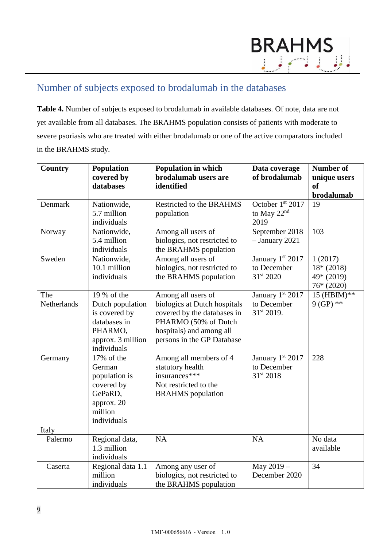# <span id="page-8-0"></span>Number of subjects exposed to brodalumab in the databases

**Table 4.** Number of subjects exposed to brodalumab in available databases. Of note, data are not yet available from all databases. The BRAHMS population consists of patients with moderate to severe psoriasis who are treated with either brodalumab or one of the active comparators included in the BRAHMS study.

| <b>Country</b>     | <b>Population</b><br>covered by<br>databases                                                                    | <b>Population in which</b><br>brodalumab users are<br>identified                                                                                                    | Data coverage<br>of brodalumab                      | <b>Number of</b><br>unique users<br>of<br>brodalumab |
|--------------------|-----------------------------------------------------------------------------------------------------------------|---------------------------------------------------------------------------------------------------------------------------------------------------------------------|-----------------------------------------------------|------------------------------------------------------|
| Denmark            | Nationwide,<br>5.7 million<br>individuals                                                                       | <b>Restricted to the BRAHMS</b><br>population                                                                                                                       | October 1st 2017<br>to May 22 <sup>nd</sup><br>2019 | 19                                                   |
| Norway             | Nationwide,<br>5.4 million<br>individuals                                                                       | Among all users of<br>biologics, not restricted to<br>the BRAHMS population                                                                                         | September 2018<br>$-$ January 2021                  | 103                                                  |
| Sweden             | Nationwide,<br>10.1 million<br>individuals                                                                      | Among all users of<br>biologics, not restricted to<br>the BRAHMS population                                                                                         | January 1st 2017<br>to December<br>31st 2020        | 1(2017)<br>$18*(2018)$<br>49* (2019)<br>$76*(2020)$  |
| The<br>Netherlands | 19 % of the<br>Dutch population<br>is covered by<br>databases in<br>PHARMO,<br>approx. 3 million<br>individuals | Among all users of<br>biologics at Dutch hospitals<br>covered by the databases in<br>PHARMO (50% of Dutch<br>hospitals) and among all<br>persons in the GP Database | January 1st 2017<br>to December<br>31st 2019.       | 15 (HBIM)**<br>$9(GP)$ **                            |
| Germany            | 17% of the<br>German<br>population is<br>covered by<br>GePaRD,<br>approx. 20<br>million<br>individuals          | Among all members of 4<br>statutory health<br>insurances***<br>Not restricted to the<br><b>BRAHMS</b> population                                                    | January 1st 2017<br>to December<br>31st 2018        | 228                                                  |
| Italy<br>Palermo   | Regional data,<br>1.3 million<br>individuals                                                                    | NA                                                                                                                                                                  | <b>NA</b>                                           | No data<br>available                                 |
| Caserta            | Regional data 1.1<br>million<br>individuals                                                                     | Among any user of<br>biologics, not restricted to<br>the BRAHMS population                                                                                          | May 2019 -<br>December 2020                         | 34                                                   |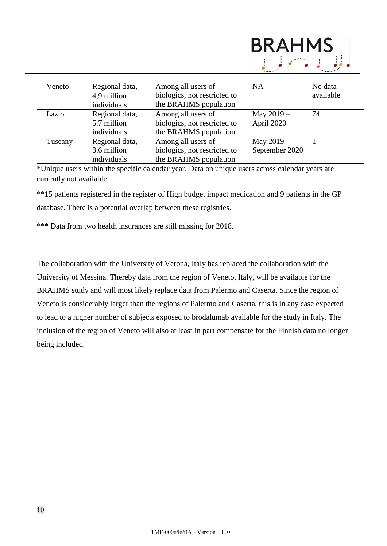

| Veneto  | Regional data, | Among all users of           | <b>NA</b>      | No data   |
|---------|----------------|------------------------------|----------------|-----------|
|         | 4,9 million    | biologics, not restricted to |                | available |
|         | individuals    | the BRAHMS population        |                |           |
| Lazio   | Regional data, | Among all users of           | May $2019 -$   | 74        |
|         | 5.7 million    | biologics, not restricted to | April 2020     |           |
|         | individuals    | the BRAHMS population        |                |           |
| Tuscany | Regional data, | Among all users of           | May $2019 -$   |           |
|         | 3.6 million    | biologics, not restricted to | September 2020 |           |
|         | individuals    | the BRAHMS population        |                |           |

\*Unique users within the specific calendar year. Data on unique users across calendar years are currently not available.

\*\*15 patients registered in the register of High budget impact medication and 9 patients in the GP database. There is a potential overlap between these registries.

\*\*\* Data from two health insurances are still missing for 2018.

The collaboration with the University of Verona, Italy has replaced the collaboration with the University of Messina. Thereby data from the region of Veneto, Italy, will be available for the BRAHMS study and will most likely replace data from Palermo and Caserta. Since the region of Veneto is considerably larger than the regions of Palermo and Caserta, this is in any case expected to lead to a higher number of subjects exposed to brodalumab available for the study in Italy. The inclusion of the region of Veneto will also at least in part compensate for the Finnish data no longer being included.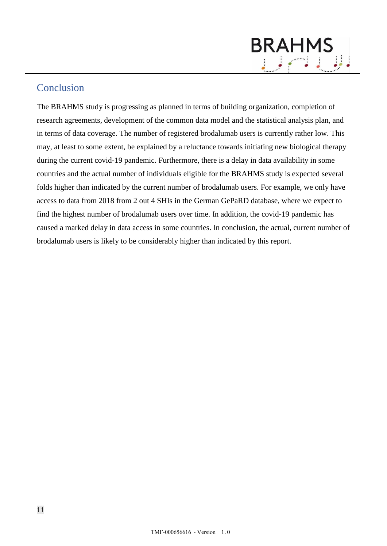# **BRAHMS**

## <span id="page-10-0"></span>Conclusion

The BRAHMS study is progressing as planned in terms of building organization, completion of research agreements, development of the common data model and the statistical analysis plan, and in terms of data coverage. The number of registered brodalumab users is currently rather low. This may, at least to some extent, be explained by a reluctance towards initiating new biological therapy during the current covid-19 pandemic. Furthermore, there is a delay in data availability in some countries and the actual number of individuals eligible for the BRAHMS study is expected several folds higher than indicated by the current number of brodalumab users. For example, we only have access to data from 2018 from 2 out 4 SHIs in the German GePaRD database, where we expect to find the highest number of brodalumab users over time. In addition, the covid-19 pandemic has caused a marked delay in data access in some countries. In conclusion, the actual, current number of brodalumab users is likely to be considerably higher than indicated by this report.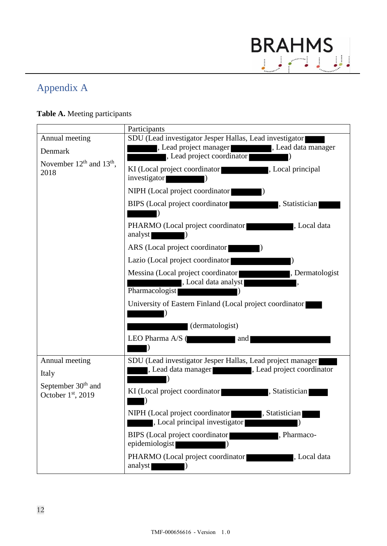

# <span id="page-11-0"></span>Appendix A

## **Table A.** Meeting participants

|                                                     | Participants                                                                                                                            |
|-----------------------------------------------------|-----------------------------------------------------------------------------------------------------------------------------------------|
| Annual meeting<br>Denmark                           | SDU (Lead investigator Jesper Hallas, Lead investigator)<br>, Lead project manager<br>, Lead data manager<br>, Lead project coordinator |
| November $12th$ and $13th$ ,<br>2018                | KI (Local project coordinator)<br>, Local principal<br>investigator                                                                     |
|                                                     | NIPH (Local project coordinator)                                                                                                        |
|                                                     | BIPS (Local project coordinator<br>, Statistician                                                                                       |
|                                                     | PHARMO (Local project coordinator<br>, Local data<br><u> de la compa</u><br>analyst                                                     |
|                                                     | ARS (Local project coordinator                                                                                                          |
|                                                     | Lazio (Local project coordinator)                                                                                                       |
|                                                     | Messina (Local project coordinator <b>National Project</b> , Dermatologist<br>, Local data analyst<br>Pharmacologist                    |
|                                                     | University of Eastern Finland (Local project coordinator)<br>(dermatologist)                                                            |
|                                                     | LEO Pharma A/S (<br>and                                                                                                                 |
| Annual meeting<br>Italy                             | SDU (Lead investigator Jesper Hallas, Lead project manager)<br>, Lead data manager states and project coordinator                       |
| September 30 <sup>th</sup> and<br>October 1st, 2019 | KI (Local project coordinator)<br>, Statistician                                                                                        |
|                                                     | NIPH (Local project coordinator , Statistician<br>, Local principal investigator                                                        |
|                                                     | BIPS (Local project coordinator)<br>, Pharmaco-<br>epidemiologist                                                                       |
|                                                     | PHARMO (Local project coordinator)<br>Local data<br>analyst                                                                             |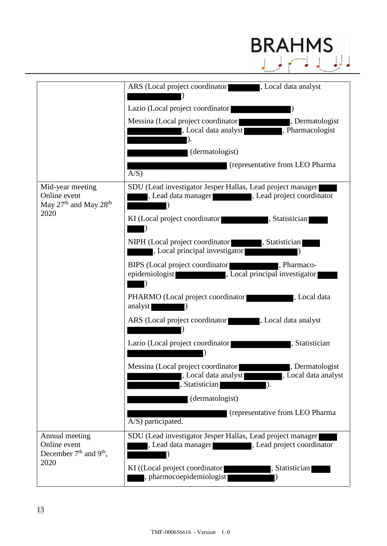